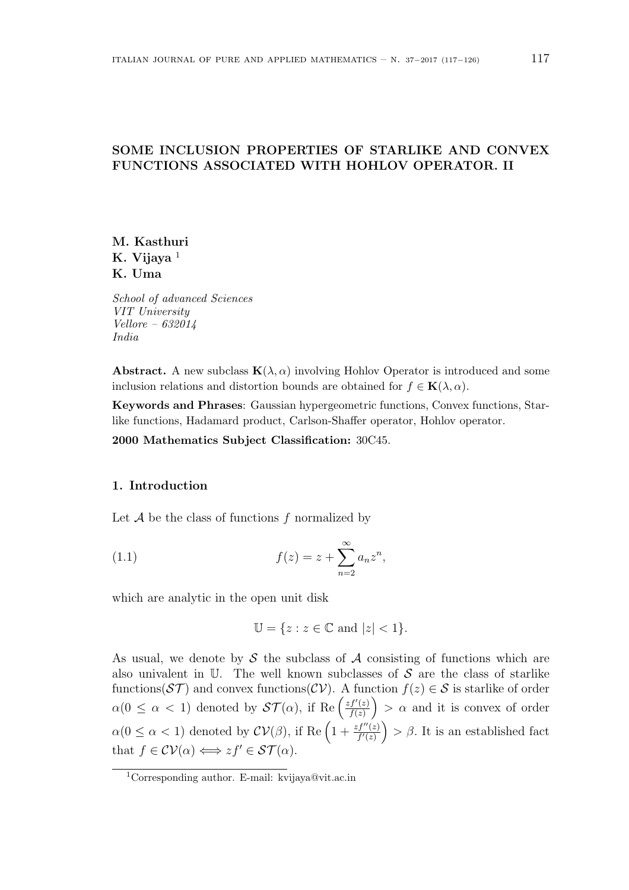# **SOME INCLUSION PROPERTIES OF STARLIKE AND CONVEX FUNCTIONS ASSOCIATED WITH HOHLOV OPERATOR. II**

**M. Kasthuri K. Vijaya** <sup>1</sup> **K. Uma**

*School of advanced Sciences VIT University Vellore – 632014 India*

**Abstract.** A new subclass  $\mathbf{K}(\lambda, \alpha)$  involving Hohlov Operator is introduced and some inclusion relations and distortion bounds are obtained for  $f \in$ **K**( $\lambda$ ,  $\alpha$ ).

**Keywords and Phrases**: Gaussian hypergeometric functions, Convex functions, Starlike functions, Hadamard product, Carlson-Shaffer operator, Hohlov operator.

**2000 Mathematics Subject Classification:** 30C45.

### **1. Introduction**

Let *A* be the class of functions *f* normalized by

(1.1) 
$$
f(z) = z + \sum_{n=2}^{\infty} a_n z^n,
$$

which are analytic in the open unit disk

$$
\mathbb{U} = \{ z : z \in \mathbb{C} \text{ and } |z| < 1 \}.
$$

As usual, we denote by *S* the subclass of *A* consisting of functions which are also univalent in U. The well known subclasses of *S* are the class of starlike functions( $ST$ ) and convex functions( $CV$ ). A function  $f(z) \in S$  is starlike of order  $\alpha(0 \leq \alpha < 1)$  denoted by  $\mathcal{ST}(\alpha)$ , if Re  $\left(\frac{zf'(z)}{f(z)}\right)$ *f*(*z*)  $\big) > \alpha$  and it is convex of order  $\alpha(0 \leq \alpha < 1)$  denoted by  $\mathcal{CV}(\beta)$ , if Re  $\left(1 + \frac{zf''(z)}{f'(z)}\right)$  $\rangle > \beta$ . It is an established fact that  $f \in \mathcal{CV}(\alpha) \Longleftrightarrow z f' \in \mathcal{ST}(\alpha)$ .

<sup>1</sup>Corresponding author. E-mail: kvijaya@vit.ac.in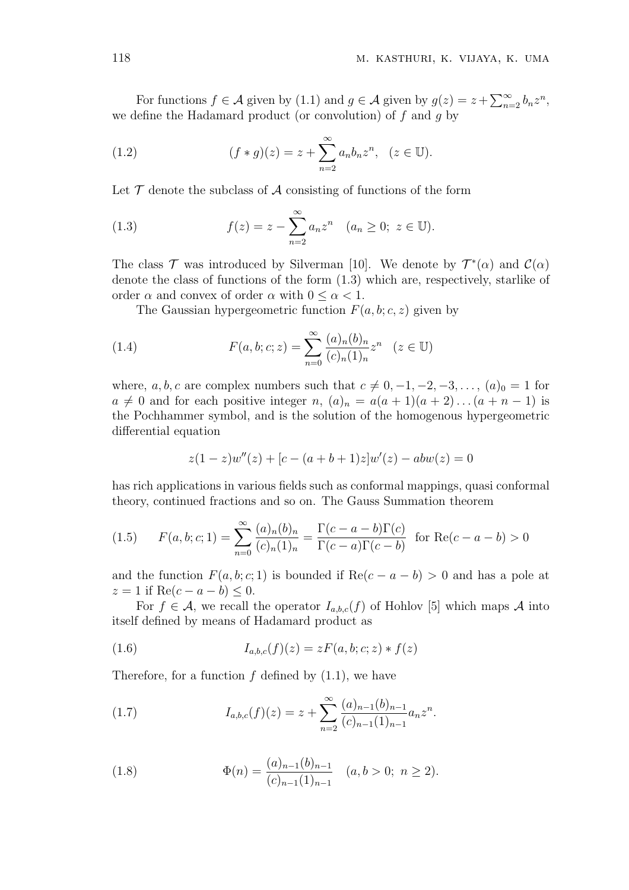For functions  $f \in \mathcal{A}$  given by  $(1.1)$  and  $g \in \mathcal{A}$  given by  $g(z) = z + \sum_{n=2}^{\infty} b_n z^n$ , we define the Hadamard product (or convolution) of *f* and *g* by

(1.2) 
$$
(f * g)(z) = z + \sum_{n=2}^{\infty} a_n b_n z^n, \quad (z \in \mathbb{U}).
$$

Let  $\mathcal T$  denote the subclass of  $\mathcal A$  consisting of functions of the form

(1.3) 
$$
f(z) = z - \sum_{n=2}^{\infty} a_n z^n \quad (a_n \ge 0; \ z \in \mathbb{U}).
$$

The class  $\mathcal{T}$  was introduced by Silverman [10]. We denote by  $\mathcal{T}^*(\alpha)$  and  $\mathcal{C}(\alpha)$ denote the class of functions of the form (1.3) which are, respectively, starlike of order  $\alpha$  and convex of order  $\alpha$  with  $0 \leq \alpha \leq 1$ .

The Gaussian hypergeometric function  $F(a, b; c, z)$  given by

(1.4) 
$$
F(a, b; c; z) = \sum_{n=0}^{\infty} \frac{(a)_n (b)_n}{(c)_n (1)_n} z^n \quad (z \in \mathbb{U})
$$

where, *a, b, c* are complex numbers such that  $c \neq 0, -1, -2, -3, \ldots$ ,  $(a)_0 = 1$  for  $a \neq 0$  and for each positive integer *n*,  $(a)_n = a(a+1)(a+2)...(a+n-1)$  is the Pochhammer symbol, and is the solution of the homogenous hypergeometric differential equation

$$
z(1-z)w''(z) + [c - (a+b+1)z]w'(z) - abw(z) = 0
$$

has rich applications in various fields such as conformal mappings, quasi conformal theory, continued fractions and so on. The Gauss Summation theorem

(1.5) 
$$
F(a, b; c; 1) = \sum_{n=0}^{\infty} \frac{(a)_n (b)_n}{(c)_n (1)_n} = \frac{\Gamma(c - a - b)\Gamma(c)}{\Gamma(c - a)\Gamma(c - b)} \text{ for } \text{Re}(c - a - b) > 0
$$

and the function  $F(a, b; c; 1)$  is bounded if  $\text{Re}(c - a - b) > 0$  and has a pole at  $z = 1$  if Re( $c - a - b$ )  $\leq 0$ .

For  $f \in \mathcal{A}$ , we recall the operator  $I_{a,b,c}(f)$  of Hohlov [5] which maps  $\mathcal{A}$  into itself defined by means of Hadamard product as

(1.6) 
$$
I_{a,b,c}(f)(z) = zF(a,b;c;z) * f(z)
$$

Therefore, for a function  $f$  defined by  $(1.1)$ , we have

(1.7) 
$$
I_{a,b,c}(f)(z) = z + \sum_{n=2}^{\infty} \frac{(a)_{n-1}(b)_{n-1}}{(c)_{n-1}(1)_{n-1}} a_n z^n.
$$

(1.8) 
$$
\Phi(n) = \frac{(a)_{n-1}(b)_{n-1}}{(c)_{n-1}(1)_{n-1}} \quad (a, b > 0; \ n \ge 2).
$$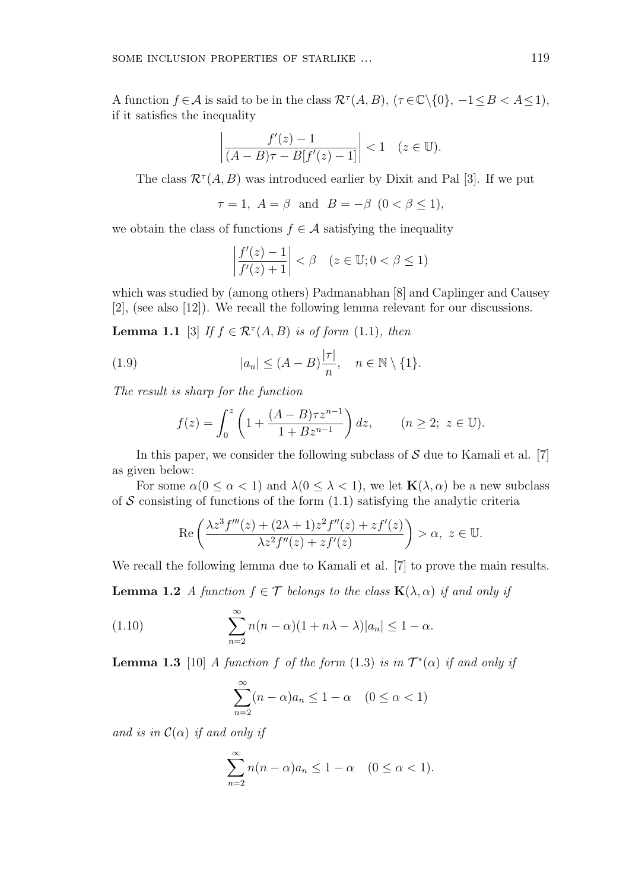A function  $f \in \mathcal{A}$  is said to be in the class  $\mathcal{R}^{\tau}(A, B)$ ,  $(\tau \in \mathbb{C} \setminus \{0\}, -1 \leq B < A \leq 1)$ , if it satisfies the inequality

$$
\left|\frac{f'(z)-1}{(A-B)\tau-B[f'(z)-1]}\right|<1\quad(z\in\mathbb{U}).
$$

The class  $\mathcal{R}^{\tau}(A, B)$  was introduced earlier by Dixit and Pal [3]. If we put

$$
\tau = 1, A = \beta \text{ and } B = -\beta \quad (0 < \beta \le 1),
$$

we obtain the class of functions  $f \in \mathcal{A}$  satisfying the inequality

$$
\left|\frac{f'(z)-1}{f'(z)+1}\right| < \beta \quad (z \in \mathbb{U}; 0 < \beta \le 1)
$$

which was studied by (among others) Padmanabhan [8] and Caplinger and Causey [2], (see also [12]). We recall the following lemma relevant for our discussions.

**Lemma 1.1** [3] *If*  $f \in \mathcal{R}^{\tau}(A, B)$  *is of form* (1.1)*, then* 

(1.9) 
$$
|a_n| \le (A - B) \frac{|\tau|}{n}, \quad n \in \mathbb{N} \setminus \{1\}.
$$

*The result is sharp for the function*

$$
f(z) = \int_0^z \left( 1 + \frac{(A - B)\tau z^{n-1}}{1 + Bz^{n-1}} \right) dz, \qquad (n \ge 2; \ z \in \mathbb{U}).
$$

In this paper, we consider the following subclass of *S* due to Kamali et al. [7] as given below:

For some  $\alpha(0 \leq \alpha < 1)$  and  $\lambda(0 \leq \lambda < 1)$ , we let  $\mathbf{K}(\lambda, \alpha)$  be a new subclass of  $S$  consisting of functions of the form  $(1.1)$  satisfying the analytic criteria

$$
\operatorname{Re}\left(\frac{\lambda z^{3} f'''(z) + (2\lambda + 1)z^{2} f''(z) + z f'(z)}{\lambda z^{2} f''(z) + z f'(z)}\right) > \alpha, \ z \in \mathbb{U}.
$$

We recall the following lemma due to Kamali et al. [7] to prove the main results.

**Lemma 1.2** *A function*  $f \in \mathcal{T}$  *belongs to the class*  $\mathbf{K}(\lambda, \alpha)$  *if and only if* 

(1.10) 
$$
\sum_{n=2}^{\infty} n(n-\alpha)(1+n\lambda-\lambda)|a_n| \leq 1-\alpha.
$$

**Lemma 1.3** [10] *A function f of the form* (1.3) *is in*  $T^*(\alpha)$  *if and only if* 

$$
\sum_{n=2}^{\infty} (n - \alpha)a_n \le 1 - \alpha \quad (0 \le \alpha < 1)
$$

*and is in*  $C(\alpha)$  *if and only if* 

$$
\sum_{n=2}^{\infty} n(n-\alpha)a_n \le 1-\alpha \quad (0 \le \alpha < 1).
$$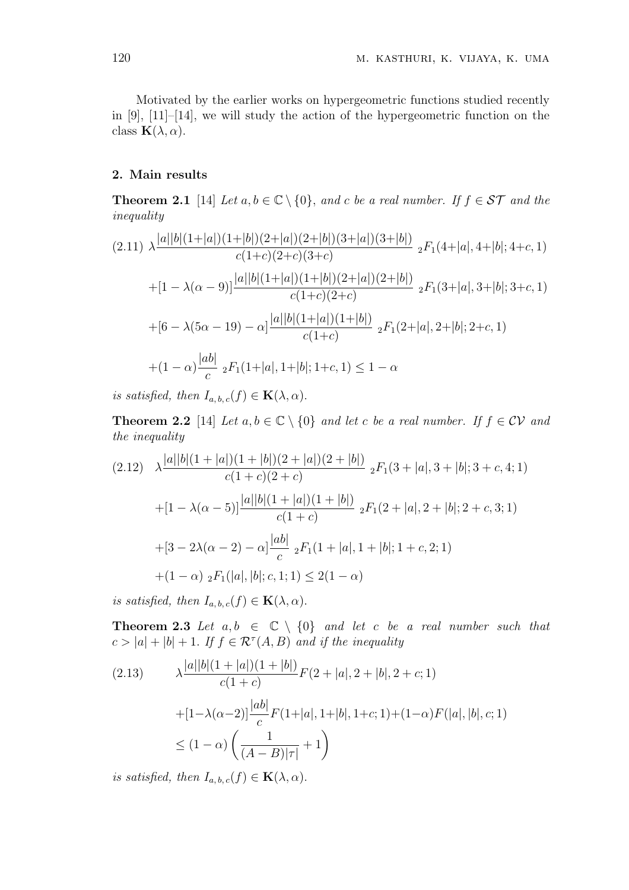Motivated by the earlier works on hypergeometric functions studied recently in [9], [11]–[14], we will study the action of the hypergeometric function on the class  $\mathbf{K}(\lambda, \alpha)$ .

## **2. Main results**

**Theorem 2.1** [14] *Let*  $a, b \in \mathbb{C} \setminus \{0\}$ *, and c be a real number. If*  $f \in \mathcal{ST}$  *and the inequality*

$$
(2.11) \ \lambda \frac{|a||b|(1+|a|)(1+|b|)(2+|a|)(2+|b|)(3+|a|)(3+|b|)}{c(1+c)(2+c)(3+c)} \ _{2}F_{1}(4+|a|,4+|b|;4+c,1)
$$
\n
$$
+[1-\lambda(\alpha-9)]\frac{|a||b|(1+|a|)(1+|b|)(2+|a|)(2+|b|)}{c(1+c)(2+c)} \ _{2}F_{1}(3+|a|,3+|b|;3+c,1)
$$
\n
$$
+[6-\lambda(5\alpha-19)-\alpha]\frac{|a||b|(1+|a|)(1+|b|)}{c(1+c)} \ _{2}F_{1}(2+|a|,2+|b|;2+c,1)
$$
\n
$$
+(1-\alpha)\frac{|ab|}{c} \ _{2}F_{1}(1+|a|,1+|b|;1+c,1) \leq 1-\alpha
$$

*is satisfied, then*  $I_{a,b,c}(f) \in \mathbf{K}(\lambda, \alpha)$ *.* 

**Theorem 2.2** [14] *Let*  $a, b \in \mathbb{C} \setminus \{0\}$  *and let c be a real number. If*  $f \in \mathcal{CV}$  *and the inequality*

$$
(2.12) \quad \lambda \frac{|a||b|(1+|a|)(1+|b|)(2+|a|)(2+|b|)}{c(1+c)(2+c)} \, {}_2F_1(3+|a|,3+|b|;3+c,4;1)
$$
\n
$$
+[1-\lambda(\alpha-5)]\frac{|a||b|(1+|a|)(1+|b|)}{c(1+c)} \, {}_2F_1(2+|a|,2+|b|;2+c,3;1)
$$
\n
$$
+[3-2\lambda(\alpha-2)-\alpha]\frac{|ab|}{c} \, {}_2F_1(1+|a|,1+|b|;1+c,2;1)
$$
\n
$$
+(1-\alpha) \, {}_2F_1(|a|,|b|;c,1;1) \le 2(1-\alpha)
$$

*is satisfied, then*  $I_{a,b,c}(f) \in \mathbf{K}(\lambda, \alpha)$ *.* 

**Theorem 2.3** *Let*  $a, b \in \mathbb{C} \setminus \{0\}$  *and let c be a real number such that*  $c > |a| + |b| + 1$ . If  $f \in \mathcal{R}^{\tau}(A, B)$  and if the inequality

$$
(2.13) \qquad \lambda \frac{|a||b|(1+|a|)(1+|b|)}{c(1+c)} F(2+|a|, 2+|b|, 2+c; 1)
$$

$$
+ [1-\lambda(\alpha-2)] \frac{|ab|}{c} F(1+|a|, 1+|b|, 1+c; 1) + (1-\alpha) F(|a|, |b|, c; 1)
$$

$$
\leq (1-\alpha) \left(\frac{1}{(A-B)|\tau|} + 1\right)
$$

*is satisfied, then*  $I_{a,b,c}(f) \in \mathbf{K}(\lambda, \alpha)$ *.*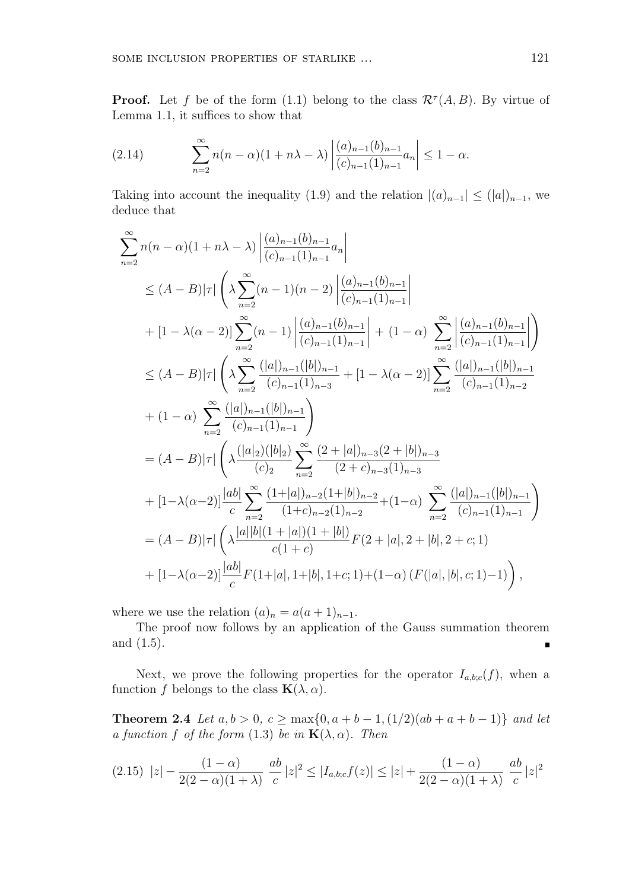**Proof.** Let *f* be of the form (1.1) belong to the class  $\mathcal{R}^{\tau}(A, B)$ . By virtue of Lemma 1.1, it suffices to show that

(2.14) 
$$
\sum_{n=2}^{\infty} n(n-\alpha)(1+n\lambda-\lambda) \left| \frac{(a)_{n-1}(b)_{n-1}}{(c)_{n-1}(1)_{n-1}} a_n \right| \leq 1-\alpha.
$$

Taking into account the inequality (1.9) and the relation  $|(a)_{n-1}| \leq (|a|)_{n-1}$ , we deduce that

$$
\sum_{n=2}^{\infty} n(n-\alpha)(1+n\lambda-\lambda) \left| \frac{(a)_{n-1}(b)_{n-1}}{(c)_{n-1}(1)_{n-1}} a_n \right|
$$
\n
$$
\leq (A-B)|\tau| \left( \lambda \sum_{n=2}^{\infty} (n-1)(n-2) \left| \frac{(a)_{n-1}(b)_{n-1}}{(c)_{n-1}(1)_{n-1}} \right| + [1-\lambda(\alpha-2)] \sum_{n=2}^{\infty} (n-1) \left| \frac{(a)_{n-1}(b)_{n-1}}{(c)_{n-1}(1)_{n-1}} \right| + (1-\alpha) \sum_{n=2}^{\infty} \left| \frac{(a)_{n-1}(b)_{n-1}}{(c)_{n-1}(1)_{n-1}} \right| \right)
$$
\n
$$
\leq (A-B)|\tau| \left( \lambda \sum_{n=2}^{\infty} \frac{(|a|)_{n-1}(|b|)_{n-1}}{(c)_{n-1}(1)_{n-3}} + [1-\lambda(\alpha-2)] \sum_{n=2}^{\infty} \frac{(|a|)_{n-1}(|b|)_{n-1}}{(c)_{n-1}(1)_{n-2}} + (1-\alpha) \sum_{n=2}^{\infty} \frac{(|a|)_{n-1}(|b|)_{n-1}}{(c)_{n-1}(1)_{n-1}} \right)
$$
\n
$$
= (A-B)|\tau| \left( \lambda \frac{(|a|_2)(|b|_2)}{(c)_2} \sum_{n=2}^{\infty} \frac{(2+|a|)_{n-3}(2+|b|)_{n-3}}{(2+c)_{n-3}(1)_{n-3}} + [1-\lambda(\alpha-2)] \frac{|ab|}{c} \sum_{n=2}^{\infty} \frac{(1+|a|)_{n-2}(1+|b|)_{n-2}}{(1+c)_{n-2}(1)_{n-2}} + (1-\alpha) \sum_{n=2}^{\infty} \frac{(|a|)_{n-1}(|b|)_{n-1}}{(c)_{n-1}(1)_{n-1}} \right)
$$
\n
$$
= (A-B)|\tau| \left( \lambda \frac{|a||b|(1+|a|)(1+|b|)}{c(1+c)} F(2+|a|, 2+|b|, 2+c; 1) + [1-\lambda(\alpha-2)] \
$$

where we use the relation  $(a)_n = a(a+1)_{n-1}$ .

The proof now follows by an application of the Gauss summation theorem and (1.5).

Next, we prove the following properties for the operator  $I_{a,b;c}(f)$ , when a function *f* belongs to the class  $\mathbf{K}(\lambda, \alpha)$ .

**Theorem 2.4** *Let*  $a, b > 0$ *,*  $c ≥ max\{0, a + b - 1, (1/2)(ab + a + b - 1)\}$  *and let a function f of the form* (1.3) *be in*  $\mathbf{K}(\lambda, \alpha)$ *. Then* 

$$
(2.15) \ \ |z| - \frac{(1-\alpha)}{2(2-\alpha)(1+\lambda)} \ \frac{ab}{c} \ |z|^2 \le |I_{a,b;c}f(z)| \le |z| + \frac{(1-\alpha)}{2(2-\alpha)(1+\lambda)} \ \frac{ab}{c} \ |z|^2
$$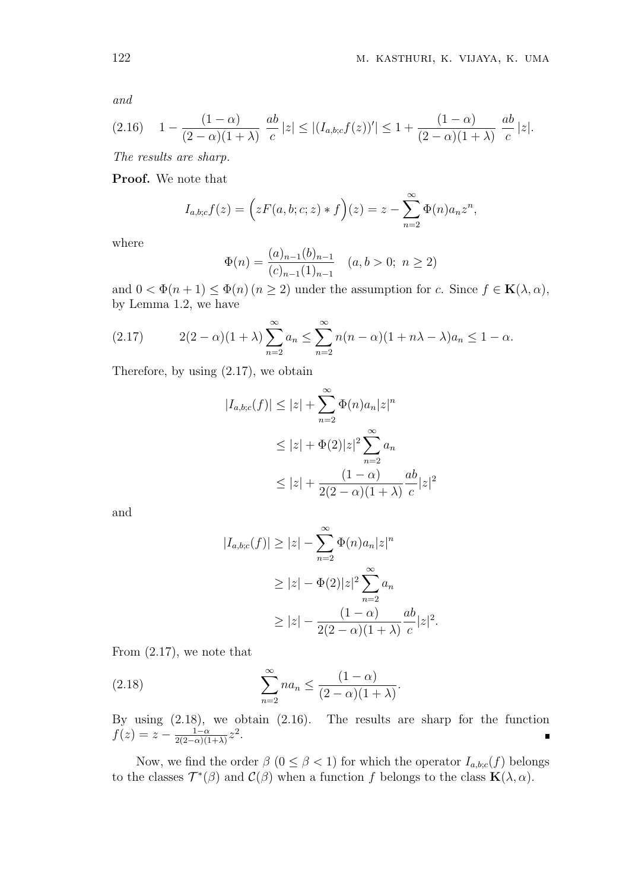*and*

$$
(2.16) \quad 1 - \frac{(1-\alpha)}{(2-\alpha)(1+\lambda)} \frac{ab}{c} |z| \le |(I_{a,b;c}f(z))'| \le 1 + \frac{(1-\alpha)}{(2-\alpha)(1+\lambda)} \frac{ab}{c} |z|.
$$

*The results are sharp.*

**Proof.** We note that

$$
I_{a,b;c}f(z) = \left(zF(a,b;c;z) * f\right)(z) = z - \sum_{n=2}^{\infty} \Phi(n)a_n z^n,
$$

where

$$
\Phi(n) = \frac{(a)_{n-1}(b)_{n-1}}{(c)_{n-1}(1)_{n-1}} \quad (a, b > 0; \ n \ge 2)
$$

and  $0 < \Phi(n+1) \leq \Phi(n)$   $(n \geq 2)$  under the assumption for *c*. Since  $f \in \mathbf{K}(\lambda, \alpha)$ , by Lemma 1.2, we have

(2.17) 
$$
2(2-\alpha)(1+\lambda)\sum_{n=2}^{\infty}a_n \leq \sum_{n=2}^{\infty}n(n-\alpha)(1+n\lambda-\lambda)a_n \leq 1-\alpha.
$$

Therefore, by using (2.17), we obtain

$$
|I_{a,b;c}(f)| \leq |z| + \sum_{n=2}^{\infty} \Phi(n)a_n |z|^n
$$
  
\n
$$
\leq |z| + \Phi(2)|z|^2 \sum_{n=2}^{\infty} a_n
$$
  
\n
$$
\leq |z| + \frac{(1-\alpha)}{2(2-\alpha)(1+\lambda)} \frac{ab}{c}|z|^2
$$

and

$$
|I_{a,b;c}(f)| \ge |z| - \sum_{n=2}^{\infty} \Phi(n)a_n |z|^n
$$
  
\n
$$
\ge |z| - \Phi(2)|z|^2 \sum_{n=2}^{\infty} a_n
$$
  
\n
$$
\ge |z| - \frac{(1-\alpha)}{2(2-\alpha)(1+\lambda)} \frac{ab}{c}|z|^2.
$$

From (2.17), we note that

(2.18) 
$$
\sum_{n=2}^{\infty} na_n \leq \frac{(1-\alpha)}{(2-\alpha)(1+\lambda)}.
$$

By using (2.18), we obtain (2.16). The results are sharp for the function  $f(z) = z - \frac{1-\alpha}{2(2-\alpha)(1-\alpha)}$  $rac{1-\alpha}{2(2-\alpha)(1+\lambda)}z^2$ .

Now, we find the order  $\beta$  ( $0 \leq \beta < 1$ ) for which the operator  $I_{a,b;c}(f)$  belongs to the classes  $\mathcal{T}^*(\beta)$  and  $\mathcal{C}(\beta)$  when a function f belongs to the class  $\mathbf{K}(\lambda, \alpha)$ .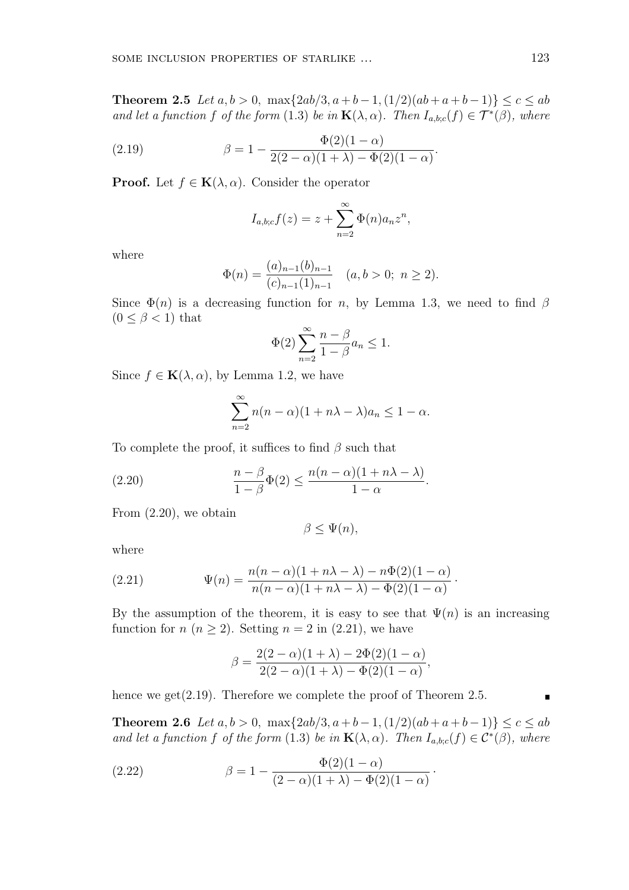**Theorem 2.5** *Let*  $a, b > 0$ *,* max $\{2ab/3, a+b-1, (1/2)(ab+a+b-1)\}$  ≤  $c$  ≤  $ab$ *and let a function f of the form* (1.3) *be in*  $\mathbf{K}(\lambda, \alpha)$ *. Then*  $I_{a,b;c}(f) \in \mathcal{T}^*(\beta)$ *, where* 

*.*

(2.19) 
$$
\beta = 1 - \frac{\Phi(2)(1-\alpha)}{2(2-\alpha)(1+\lambda) - \Phi(2)(1-\alpha)}
$$

**Proof.** Let  $f \in K(\lambda, \alpha)$ . Consider the operator

$$
I_{a,b;c}f(z) = z + \sum_{n=2}^{\infty} \Phi(n)a_n z^n,
$$

where

$$
\Phi(n) = \frac{(a)_{n-1}(b)_{n-1}}{(c)_{n-1}(1)_{n-1}} \quad (a, b > 0; \ n \ge 2).
$$

Since  $\Phi(n)$  is a decreasing function for *n*, by Lemma 1.3, we need to find  $\beta$  $(0 \leq \beta < 1)$  that

$$
\Phi(2)\sum_{n=2}^{\infty}\frac{n-\beta}{1-\beta}a_n\leq 1.
$$

Since  $f \in \mathbf{K}(\lambda, \alpha)$ , by Lemma 1.2, we have

$$
\sum_{n=2}^{\infty} n(n-\alpha)(1+n\lambda-\lambda)a_n \le 1-\alpha.
$$

To complete the proof, it suffices to find *β* such that

(2.20) 
$$
\frac{n-\beta}{1-\beta}\Phi(2) \le \frac{n(n-\alpha)(1+n\lambda-\lambda)}{1-\alpha}.
$$

From (2.20), we obtain

$$
\beta \leq \Psi(n),
$$

where

(2.21) 
$$
\Psi(n) = \frac{n(n - \alpha)(1 + n\lambda - \lambda) - n\Phi(2)(1 - \alpha)}{n(n - \alpha)(1 + n\lambda - \lambda) - \Phi(2)(1 - \alpha)}.
$$

By the assumption of the theorem, it is easy to see that  $\Psi(n)$  is an increasing function for  $n (n \geq 2)$ . Setting  $n = 2$  in (2.21), we have

$$
\beta = \frac{2(2-\alpha)(1+\lambda) - 2\Phi(2)(1-\alpha)}{2(2-\alpha)(1+\lambda) - \Phi(2)(1-\alpha)},
$$

hence we get(2.19). Therefore we complete the proof of Theorem 2.5.

**Theorem 2.6** *Let*  $a, b > 0$ *,* max $\{2ab/3, a+b-1, (1/2)(ab+a+b-1)\}$  ≤  $c ≤ ab$ *and let a function f of the form* (1.3) *be in*  $\mathbf{K}(\lambda, \alpha)$ *. Then*  $I_{a,b;c}(f) \in C^*(\beta)$ *, where* 

*·*

(2.22) 
$$
\beta = 1 - \frac{\Phi(2)(1-\alpha)}{(2-\alpha)(1+\lambda) - \Phi(2)(1-\alpha)}
$$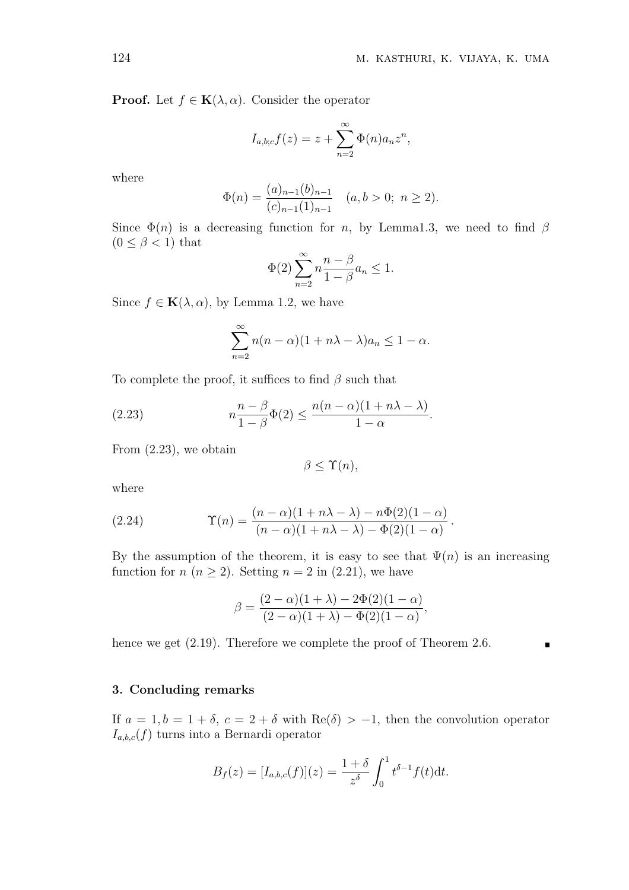**Proof.** Let  $f \in \mathbf{K}(\lambda, \alpha)$ . Consider the operator

$$
I_{a,b;c}f(z) = z + \sum_{n=2}^{\infty} \Phi(n)a_n z^n,
$$

where

$$
\Phi(n) = \frac{(a)_{n-1}(b)_{n-1}}{(c)_{n-1}(1)_{n-1}} \quad (a, b > 0; \ n \ge 2).
$$

Since  $\Phi(n)$  is a decreasing function for *n*, by Lemma1.3, we need to find  $\beta$  $(0 \leq \beta < 1)$  that

$$
\Phi(2)\sum_{n=2}^{\infty} n \frac{n-\beta}{1-\beta} a_n \le 1.
$$

Since  $f \in \mathbf{K}(\lambda, \alpha)$ , by Lemma 1.2, we have

$$
\sum_{n=2}^{\infty} n(n-\alpha)(1+n\lambda-\lambda)a_n \le 1-\alpha.
$$

To complete the proof, it suffices to find *β* such that

(2.23) 
$$
n\frac{n-\beta}{1-\beta}\Phi(2) \le \frac{n(n-\alpha)(1+n\lambda-\lambda)}{1-\alpha}.
$$

From (2.23), we obtain

 $\beta \leq \Upsilon(n)$ ,

where

(2.24) 
$$
\Upsilon(n) = \frac{(n-\alpha)(1+n\lambda-\lambda)-n\Phi(2)(1-\alpha)}{(n-\alpha)(1+n\lambda-\lambda)-\Phi(2)(1-\alpha)}.
$$

By the assumption of the theorem, it is easy to see that  $\Psi(n)$  is an increasing function for  $n (n \geq 2)$ . Setting  $n = 2$  in (2.21), we have

$$
\beta = \frac{(2-\alpha)(1+\lambda) - 2\Phi(2)(1-\alpha)}{(2-\alpha)(1+\lambda) - \Phi(2)(1-\alpha)},
$$

hence we get  $(2.19)$ . Therefore we complete the proof of Theorem 2.6.

## **3. Concluding remarks**

If  $a = 1, b = 1 + \delta$ ,  $c = 2 + \delta$  with Re( $\delta$ ) > -1, then the convolution operator  $I_{a,b,c}(f)$  turns into a Bernardi operator

$$
B_f(z) = [I_{a,b,c}(f)](z) = \frac{1+\delta}{z^{\delta}} \int_0^1 t^{\delta-1} f(t) dt.
$$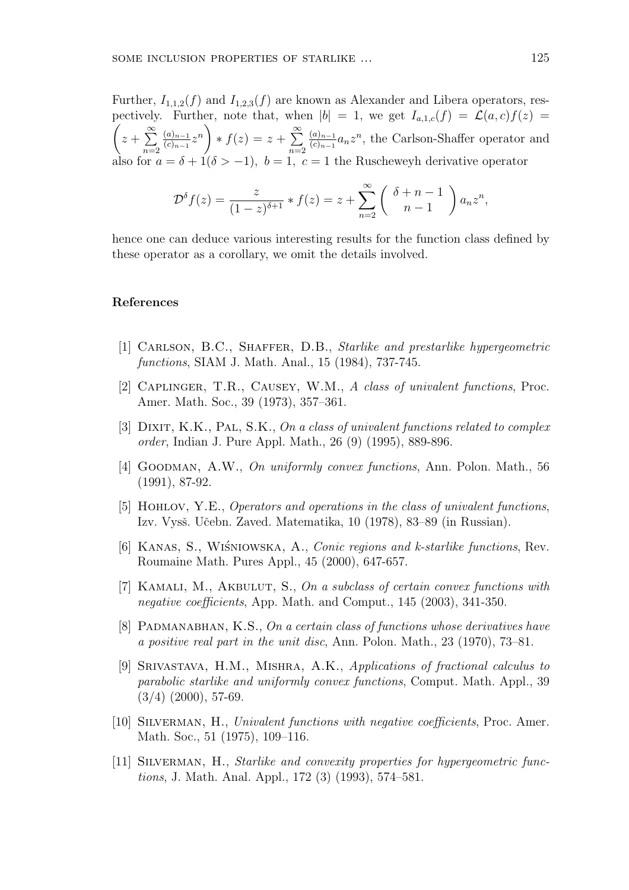Further,  $I_{1,1,2}(f)$  and  $I_{1,2,3}(f)$  are known as Alexander and Libera operators, respectively. Further, note that, when  $|b| = 1$ , we get  $I_{a,1,c}(f) = \mathcal{L}(a,c)f(z) =$  $\sqrt{ }$ *z* + ∑*∞ n*=2 (*a*)*n−*<sup>1</sup>  $\left(\frac{(a)_{n-1}}{(c)_{n-1}}z^n\right)$ *∗ f*(*z*) = *z* + ∑*∞ n*=2 (*a*)*n−*<sup>1</sup>  $\frac{(a)_{n-1}}{(c)_{n-1}} a_n z^n$ , the Carlson-Shaffer operator and also for  $a = \delta + 1(\delta > -1)$ ,  $b = 1$ ,  $c = 1$  the Ruscheweyh derivative operator

$$
\mathcal{D}^{\delta} f(z) = \frac{z}{(1-z)^{\delta+1}} * f(z) = z + \sum_{n=2}^{\infty} \left( \begin{array}{c} \delta+n-1\\ n-1 \end{array} \right) a_n z^n,
$$

hence one can deduce various interesting results for the function class defined by these operator as a corollary, we omit the details involved.

### **References**

- [1] Carlson, B.C., Shaffer, D.B., *Starlike and prestarlike hypergeometric functions*, SIAM J. Math. Anal., 15 (1984), 737-745.
- [2] Caplinger, T.R., Causey, W.M., *A class of univalent functions*, Proc. Amer. Math. Soc., 39 (1973), 357–361.
- [3] DIXIT, K.K., PAL, S.K., *On a class of univalent functions related to complex order*, Indian J. Pure Appl. Math., 26 (9) (1995), 889-896.
- [4] Goodman, A.W., *On uniformly convex functions*, Ann. Polon. Math., 56 (1991), 87-92.
- [5] Hohlov, Y.E., *Operators and operations in the class of univalent functions*, Izv. Vysš. Učebn. Zaved. Matematika, 10 (1978), 83–89 (in Russian).
- [6] Kanas, S., Wi´sniowska, A., *Conic regions and k-starlike functions*, Rev. Roumaine Math. Pures Appl., 45 (2000), 647-657.
- [7] Kamali, M., Akbulut, S., *On a subclass of certain convex functions with negative coefficients*, App. Math. and Comput., 145 (2003), 341-350.
- [8] Padmanabhan, K.S., *On a certain class of functions whose derivatives have a positive real part in the unit disc*, Ann. Polon. Math., 23 (1970), 73–81.
- [9] Srivastava, H.M., Mishra, A.K., *Applications of fractional calculus to parabolic starlike and uniformly convex functions*, Comput. Math. Appl., 39  $(3/4)$   $(2000)$ , 57-69.
- [10] Silverman, H., *Univalent functions with negative coefficients*, Proc. Amer. Math. Soc., 51 (1975), 109–116.
- [11] Silverman, H., *Starlike and convexity properties for hypergeometric functions*, J. Math. Anal. Appl., 172 (3) (1993), 574–581.